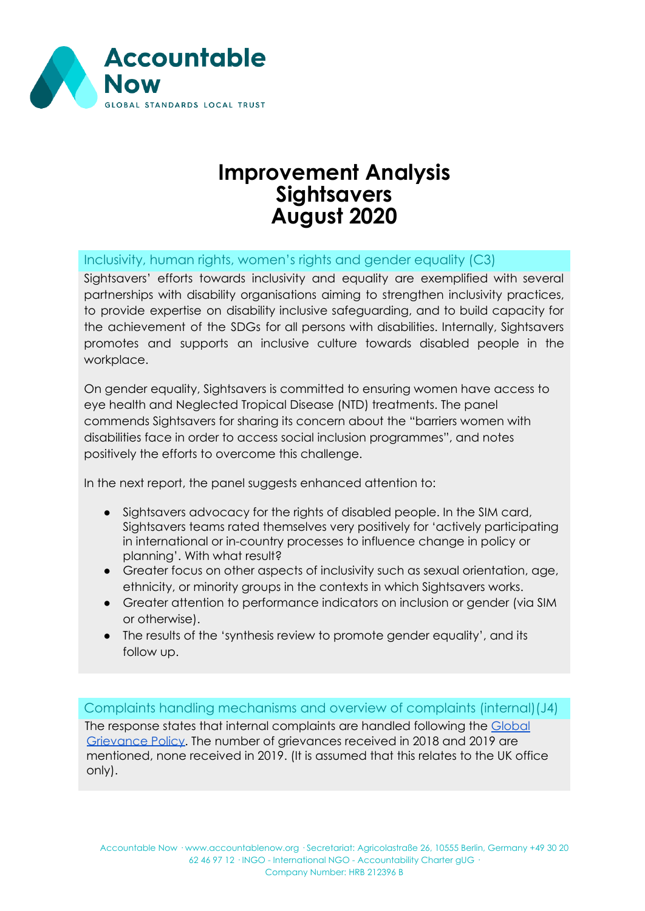

## **Improvement Analysis Sightsavers August 2020**

Inclusivity, human rights, women's rights and gender equality (C3)

Sightsavers' efforts towards inclusivity and equality are exemplified with several partnerships with disability organisations aiming to strengthen inclusivity practices, to provide expertise on disability inclusive safeguarding, and to build capacity for the achievement of the SDGs for all persons with disabilities. Internally, Sightsavers promotes and supports an inclusive culture towards disabled people in the workplace.

On gender equality, Sightsavers is committed to ensuring women have access to eye health and Neglected Tropical Disease (NTD) treatments. The panel commends Sightsavers for sharing its concern about the "barriers women with disabilities face in order to access social inclusion programmes", and notes positively the efforts to overcome this challenge.

In the next report, the panel suggests enhanced attention to:

- Sightsavers advocacy for the rights of disabled people. In the SIM card, Sightsavers teams rated themselves very positively for 'actively participating in international or in-country processes to influence change in policy or planning'. With what result?
- Greater focus on other aspects of inclusivity such as sexual orientation, age, ethnicity, or minority groups in the contexts in which Sightsavers works.
- Greater attention to performance indicators on inclusion or gender (via SIM or otherwise).
- The results of the 'synthesis review to promote gender equality', and its follow up.

Complaints handling mechanisms and overview of complaints (internal)(J4) The response states that internal complaints are handled following the [Global](https://www.sightsavers.org/wp-content/uploads/2018/07/Sightsavers-Global-Grievance-Policy-Procedure-Jan-2017.pdf) [Grievance](https://www.sightsavers.org/wp-content/uploads/2018/07/Sightsavers-Global-Grievance-Policy-Procedure-Jan-2017.pdf) Policy. The number of grievances received in 2018 and 2019 are mentioned, none received in 2019. (It is assumed that this relates to the UK office only).